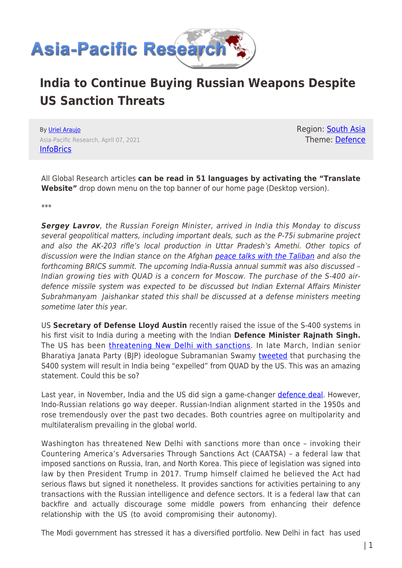

## **India to Continue Buying Russian Weapons Despite US Sanction Threats**

By [Uriel Araujo](https://www.asia-pacificresearch.com/author/uriel-araujo) Asia-Pacific Research, April 07, 2021 **[InfoBrics](http://infobrics.org/post/33119/)** 

Region: [South Asia](https://www.asia-pacificresearch.com/region/south-asia) Theme: [Defence](https://www.asia-pacificresearch.com/theme/defence)

All Global Research articles **can be read in 51 languages by activating the "Translate Website"** drop down menu on the top banner of our home page (Desktop version).

\*\*\*

*Sergey Lavrov*, the Russian Foreign Minister, arrived in India this Monday to discuss several geopolitical matters, including important deals, such as the P-75i submarine project and also the AK-203 rifle's local production in Uttar Pradesh's Amethi. Other topics of discussion were the Indian stance on the Afghan [peace talks with the Taliban](http://infobrics.org/post/33089/) and also the forthcoming BRICS summit. The upcoming India-Russia annual summit was also discussed – Indian growing ties with QUAD is a concern for Moscow. The purchase of the S-400 airdefence missile system was expected to be discussed but Indian External Affairs Minister Subrahmanyam Jaishankar stated this shall be discussed at a defense ministers meeting sometime later this year.

US **Secretary of Defense Lloyd Austin** recently raised the issue of the S-400 systems in his first visit to India during a meeting with the Indian **Defence Minister Rajnath Singh.** The US has been [threatening New Delhi with sanctions](https://infobrics.org/post/32589/). In late March, Indian senior Bharatiya Janata Party (BJP) ideologue Subramanian Swamy [tweeted](https://twitter.com/Swamy39/status/1374943984083103749) that purchasing the S400 system will result in India being "expelled" from QUAD by the US. This was an amazing statement. Could this be so?

Last year, in November, India and the US did sign a game-changer [defence deal.](https://infobrics.org/post/32251/) However, Indo-Russian relations go way deeper. Russian-Indian alignment started in the 1950s and rose tremendously over the past two decades. Both countries agree on multipolarity and multilateralism prevailing in the global world.

Washington has threatened New Delhi with sanctions more than once – invoking their Countering America's Adversaries Through Sanctions Act (CAATSA) – a federal law that imposed sanctions on Russia, Iran, and North Korea. This piece of legislation was signed into law by then President Trump in 2017. Trump himself claimed he believed the Act had serious flaws but signed it nonetheless. It provides sanctions for activities pertaining to any transactions with the Russian intelligence and defence sectors. It is a federal law that can backfire and actually discourage some middle powers from enhancing their defence relationship with the US (to avoid compromising their autonomy).

The Modi government has stressed it has a diversified portfolio. New Delhi in fact has used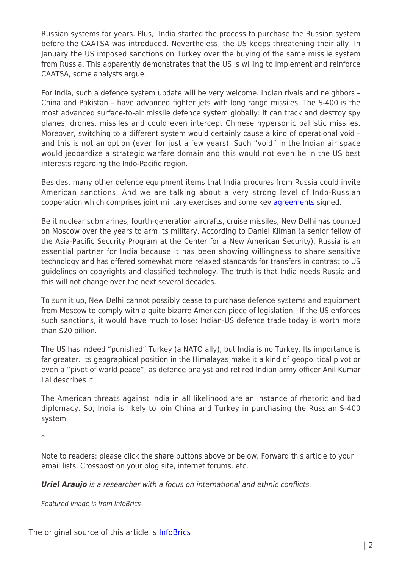Russian systems for years. Plus, India started the process to purchase the Russian system before the CAATSA was introduced. Nevertheless, the US keeps threatening their ally. In January the US imposed sanctions on Turkey over the buying of the same missile system from Russia. This apparently demonstrates that the US is willing to implement and reinforce CAATSA, some analysts argue.

For India, such a defence system update will be very welcome. Indian rivals and neighbors – China and Pakistan – have advanced fighter jets with long range missiles. The S-400 is the most advanced surface-to-air missile defence system globally: it can track and destroy spy planes, drones, missiles and could even intercept Chinese hypersonic ballistic missiles. Moreover, switching to a different system would certainly cause a kind of operational void – and this is not an option (even for just a few years). Such "void" in the Indian air space would jeopardize a strategic warfare domain and this would not even be in the US best interests regarding the Indo-Pacific region.

Besides, many other defence equipment items that India procures from Russia could invite American sanctions. And we are talking about a very strong level of Indo-Russian cooperation which comprises joint military exercises and some key [agreements](http://infobrics.org/post/31269) signed.

Be it nuclear submarines, fourth-generation aircrafts, cruise missiles, New Delhi has counted on Moscow over the years to arm its military. According to Daniel Kliman (a senior fellow of the Asia-Pacific Security Program at the Center for a New American Security), Russia is an essential partner for India because it has been showing willingness to share sensitive technology and has offered somewhat more relaxed standards for transfers in contrast to US guidelines on copyrights and classified technology. The truth is that India needs Russia and this will not change over the next several decades.

To sum it up, New Delhi cannot possibly cease to purchase defence systems and equipment from Moscow to comply with a quite bizarre American piece of legislation. If the US enforces such sanctions, it would have much to lose: Indian-US defence trade today is worth more than \$20 billion.

The US has indeed "punished" Turkey (a NATO ally), but India is no Turkey. Its importance is far greater. Its geographical position in the Himalayas make it a kind of geopolitical pivot or even a "pivot of world peace", as defence analyst and retired Indian army officer Anil Kumar Lal describes it.

The American threats against India in all likelihood are an instance of rhetoric and bad diplomacy. So, India is likely to join China and Turkey in purchasing the Russian S-400 system.

\*

Note to readers: please click the share buttons above or below. Forward this article to your email lists. Crosspost on your blog site, internet forums. etc.

*Uriel Araujo* is a researcher with a focus on international and ethnic conflicts.

Featured image is from InfoBrics